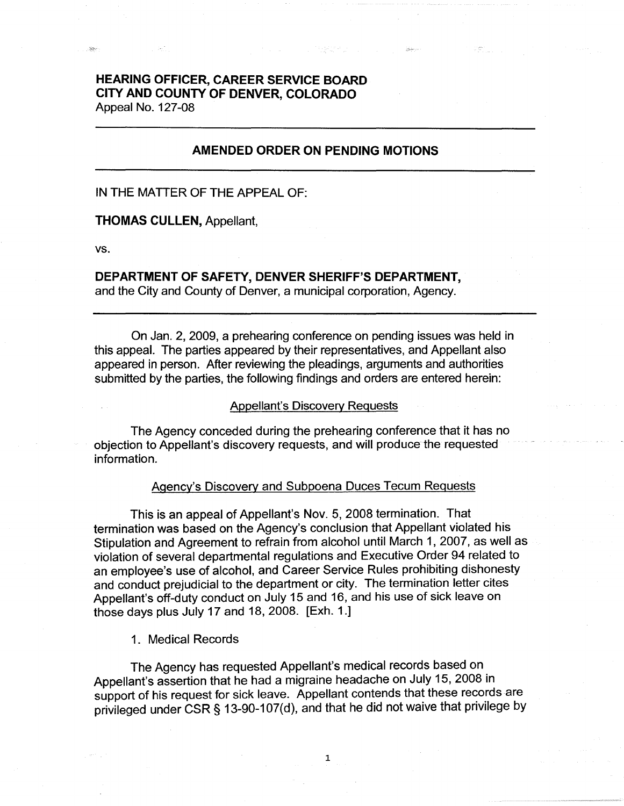# **HEARING OFFICER, CAREER SERVICE BOARD CITY AND COUNTY OF DENVER, COLORADO**  Appeal No. 127-08

# **AMENDED ORDER ON PENDING MOTIONS**

### IN THE MATTER OF THE APPEAL OF:

#### **THOMAS CULLEN,** Appellant,

**vs.** 

 $\sim$ 

# **DEPARTMENT OF SAFETY, DENVER SHERIFF'S DEPARTMENT,**

and the City and County of Denver, a municipal corporation, Agency.

On Jan. 2, 2009, a prehearing conference on pending issues was held in this appeal. The parties appeared by their representatives, and Appellant also appeared in person. After reviewing the pleadings, arguments and authorities submitted by the parties, the following findings and orders are entered herein:

### Appellant's Discovery Requests

The Agency conceded during the prehearing conference that it has no objection to Appellant's discovery requests, and will produce the requested information.

#### Agency's Discovery and Subpoena Duces Tecum Requests

This is an appeal of Appellant's Nov. 5, 2008 termination. That termination was based on the Agency's conclusion that Appellant violated his Stipulation and Agreement to refrain from alcohol until March 1, 2007, as well as violation of several departmental regulations and Executive Order 94 related to an employee's use of alcohol, and Career Service Rules prohibiting dishonesty and conduct prejudicial to the department or city. The termination letter cites Appellant's off-duty conduct on July 15 and 16, and his use of sick leave on those days plus July 17 and 18, 2008. [Exh. 1.]

# 1. Medical Records

The Agency has requested Appellant's medical records based on Appellant's assertion that he had a migraine headache on July 15, 2008 in support of his request for sick leave. Appellant contends that these records are privileged under CSR§ 13-90-107(d), and that he did not waive that privilege by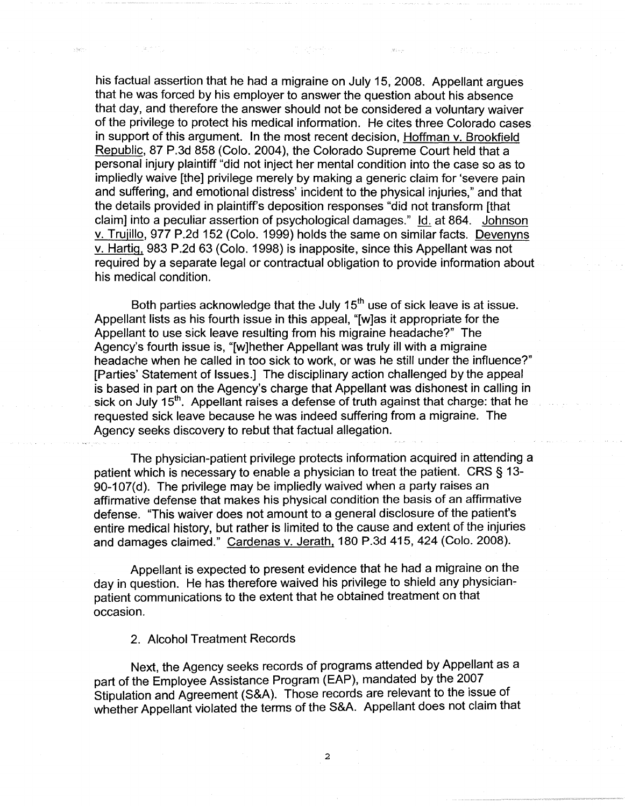his factual assertion that he had a migraine on July 15, 2008. Appellant argues that he was forced by his employer to answer the question about his absence that day, and therefore the answer should not be considered a voluntary waiver of the privilege to protect his medical information. He cites three Colorado cases in support of this argument. In the most recent decision, Hoffman v. Brookfield Republic, 87 P.3d 858 (Colo. 2004), the Colorado Supreme Court held that a personal injury plaintiff "did not inject her mental condition into the case so as to impliedly waive [the] privilege merely by making a generic claim for 'severe pain and suffering, and emotional distress' incident to the physical injuries," and that the details provided in plaintiff's deposition responses "did not transform [that claim] into a peculiar assertion of psychological damages." Id. at 864. Johnson v. Trujillo, 977 P.2d 152 (Colo. 1999) holds the same on similar facts. Devenyns v. Hartig, 983 P.2d 63 (Colo. 1998) is inapposite, since this Appellant was not required by a separate legal or contractual obligation to provide information about his medical condition.

Both parties acknowledge that the July  $15<sup>th</sup>$  use of sick leave is at issue. Appellant lists as his fourth issue in this appeal, "[w]as it appropriate for the Appellant to use sick leave resulting from his migraine headache?" The Agency's fourth issue is, "[w]hether Appellant was truly ill with a migraine headache when he called in too sick to work, or was he still under the influence?" [Parties' Statement of Issues.] The disciplinary action challenged by the appeal is based in part on the Agency's charge that Appellant was dishonest in calling in sick on July  $15<sup>th</sup>$ . Appellant raises a defense of truth against that charge: that he requested sick leave because he was indeed suffering from a migraine. The Agency seeks discovery to rebut that factual allegation.

The physician-patient privilege protects information acquired in attending a patient which is necessary to enable a physician to treat the patient. CRS § 13- 90-107(d). The privilege may be impliedly waived when a party raises an affirmative defense that makes his physical condition the basis of an affirmative defense. "This waiver does not amount to a general disclosure of the patient's entire medical history, but rather is limited to the cause and extent of the injuries and damages claimed." Cardenas v. Jerath, 180 P.3d 415, 424 (Colo. 2008).

Appellant is expected to present evidence that he had a migraine on the day in question. He has therefore waived his privilege to shield any physicianpatient communications to the extent that he obtained treatment on that occasion.

2. Alcohol Treatment Records

Next, the Agency seeks records of programs attended by Appellant as a part of the Employee Assistance Program (EAP), mandated by the 2007 Stipulation and Agreement (S&A). Those records are relevant to the issue of whether Appellant violated the terms of the S&A. Appellant does not claim that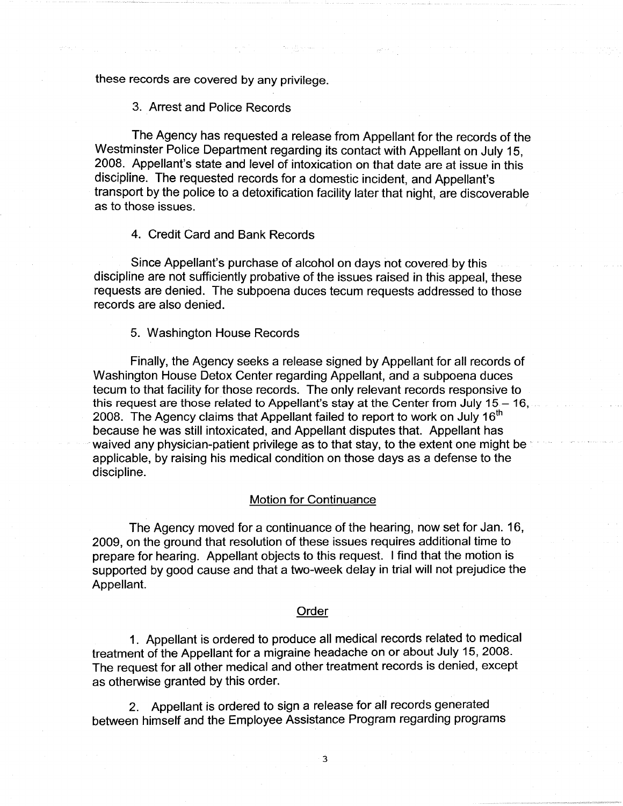these records are covered by any privilege.

### 3. Arrest and Police Records

The Agency has requested a release from Appellant for the records of the Westminster Police Department regarding its contact with Appellant on July 15, 2008. Appellant's state and level of intoxication on that date are at issue in this discipline. The requested records for a domestic incident, and Appellant's transport by the police to a detoxification facility later that night, are discoverable as to those issues.

#### 4. Credit Card and Bank Records

Since Appellant's purchase of alcohol on days not covered by this discipline are not sufficiently probative of the issues raised in this appeal, these requests are denied. The subpoena duces tecum requests addressed to those records are also denied.

### 5. Washington House Records

Finally, the Agency seeks a release signed by Appellant for all records of Washington House Detox Center regarding Appellant, and a subpoena duces tecum to that facility for those records. The only relevant records responsive to this request are those related to Appellant's stay at the Center from July  $15 - 16$ , 2008. The Agency claims that Appellant failed to report to work on July 16<sup>th</sup> because he was still intoxicated, and Appellant disputes that. Appellant has waived any physician-patient privilege as to that stay, to the extent one might be applicable, by raising his medical condition on those days as a defense to the discipline.

# Motion for Continuance

The Agency moved for a continuance of the hearing, now set for Jan. 16, 2009, on the ground that resolution of these issues requires additional time to prepare for hearing. Appellant objects to this request. I find that the motion is supported by good cause and that a two-week delay in trial will not prejudice the Appellant.

#### Order

1. Appellant is ordered to produce all medical records related to medical treatment of the Appellant for a migraine headache on or about July 15, 2008. The request for all other medical and other treatment records is denied, except as otherwise granted by this order.

2. Appellant is ordered to sign a release for all records generated between himself and the Employee Assistance Program regarding programs

3